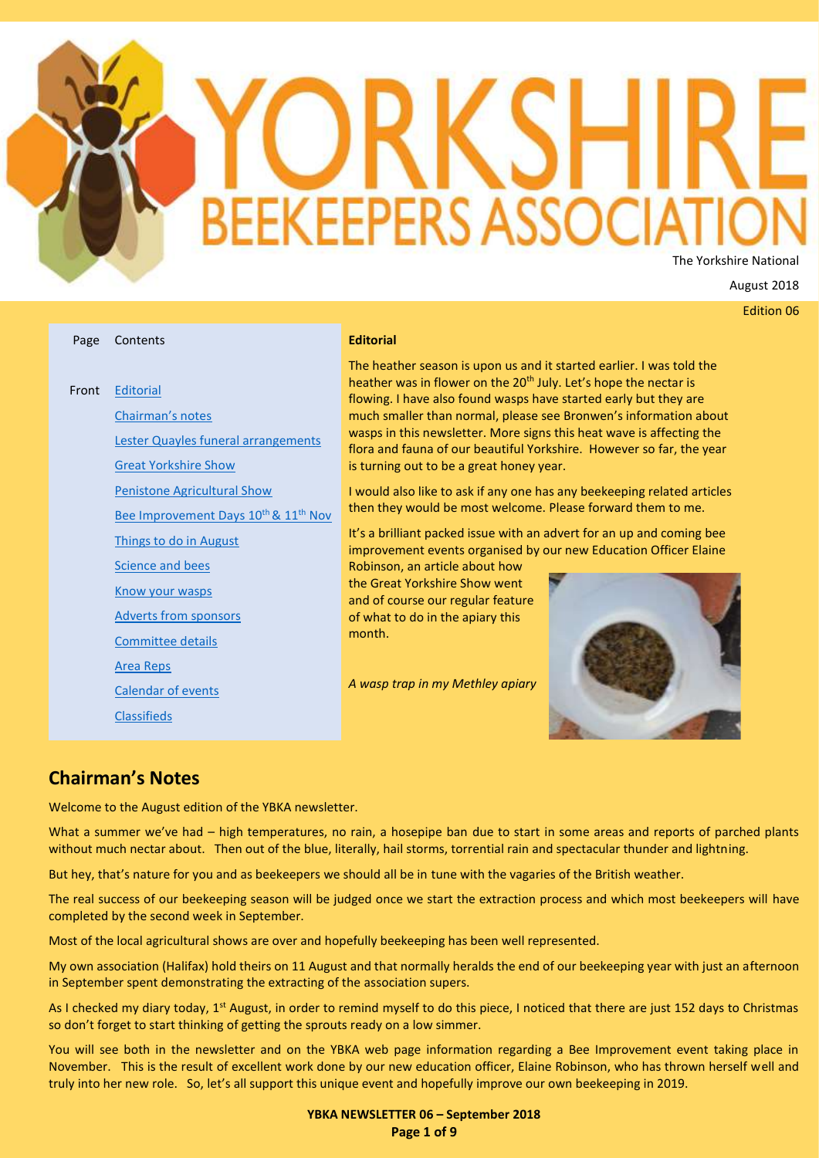# **BEEKEEPERS ASSOC** The Yorkshire National

August 2018

Edition 06

<span id="page-0-0"></span>

| Page  | Contents                                                                                                          | <b>Editorial</b>                                                                                                                                                                                                                                                                                                                                                                                                                                                                         |
|-------|-------------------------------------------------------------------------------------------------------------------|------------------------------------------------------------------------------------------------------------------------------------------------------------------------------------------------------------------------------------------------------------------------------------------------------------------------------------------------------------------------------------------------------------------------------------------------------------------------------------------|
| Front | <b>Editorial</b><br>Chairman's notes<br><b>Lester Quayles funeral arrangements</b><br><b>Great Yorkshire Show</b> | The heather season is upon us and it started earlier. I was told the<br>heather was in flower on the 20 <sup>th</sup> July. Let's hope the nectar is<br>flowing. I have also found wasps have started early but they are<br>much smaller than normal, please see Bronwen's information about<br>wasps in this newsletter. More signs this heat wave is affecting the<br>flora and fauna of our beautiful Yorkshire. However so far, the year<br>is turning out to be a great honey year. |
|       | <b>Penistone Agricultural Show</b><br>Bee Improvement Days 10 <sup>th</sup> & 11 <sup>th</sup> Nov                | I would also like to ask if any one has any beekeeping related articles<br>then they would be most welcome. Please forward them to me.                                                                                                                                                                                                                                                                                                                                                   |
|       | Things to do in August                                                                                            | It's a brilliant packed issue with an advert for an up and coming bee<br>improvement events organised by our new Education Officer Elaine                                                                                                                                                                                                                                                                                                                                                |
|       | <b>Science and bees</b><br><b>Know your wasps</b>                                                                 | Robinson, an article about how<br>the Great Yorkshire Show went                                                                                                                                                                                                                                                                                                                                                                                                                          |
|       | <b>Adverts from sponsors</b>                                                                                      | and of course our regular feature<br>of what to do in the apiary this<br>month.                                                                                                                                                                                                                                                                                                                                                                                                          |
|       | Committee details<br><b>Area Reps</b>                                                                             |                                                                                                                                                                                                                                                                                                                                                                                                                                                                                          |
|       | <b>Calendar of events</b>                                                                                         | A wasp trap in my Methley apiary                                                                                                                                                                                                                                                                                                                                                                                                                                                         |
|       | <b>Classifieds</b>                                                                                                |                                                                                                                                                                                                                                                                                                                                                                                                                                                                                          |

#### <span id="page-0-1"></span>**Chairman's Notes**

Welcome to the August edition of the YBKA newsletter.

What a summer we've had – high temperatures, no rain, a hosepipe ban due to start in some areas and reports of parched plants without much nectar about. Then out of the blue, literally, hail storms, torrential rain and spectacular thunder and lightning.

But hey, that's nature for you and as beekeepers we should all be in tune with the vagaries of the British weather.

The real success of our beekeeping season will be judged once we start the extraction process and which most beekeepers will have completed by the second week in September.

Most of the local agricultural shows are over and hopefully beekeeping has been well represented.

My own association (Halifax) hold theirs on 11 August and that normally heralds the end of our beekeeping year with just an afternoon in September spent demonstrating the extracting of the association supers.

As I checked my diary today, 1<sup>st</sup> August, in order to remind myself to do this piece, I noticed that there are just 152 days to Christmas so don't forget to start thinking of getting the sprouts ready on a low simmer.

You will see both in the newsletter and on the YBKA web page information regarding a Bee Improvement event taking place in November. This is the result of excellent work done by our new education officer, Elaine Robinson, who has thrown herself well and truly into her new role. So, let's all support this unique event and hopefully improve our own beekeeping in 2019.

> **YBKA NEWSLETTER 06 – September 2018 Page 1 of 9**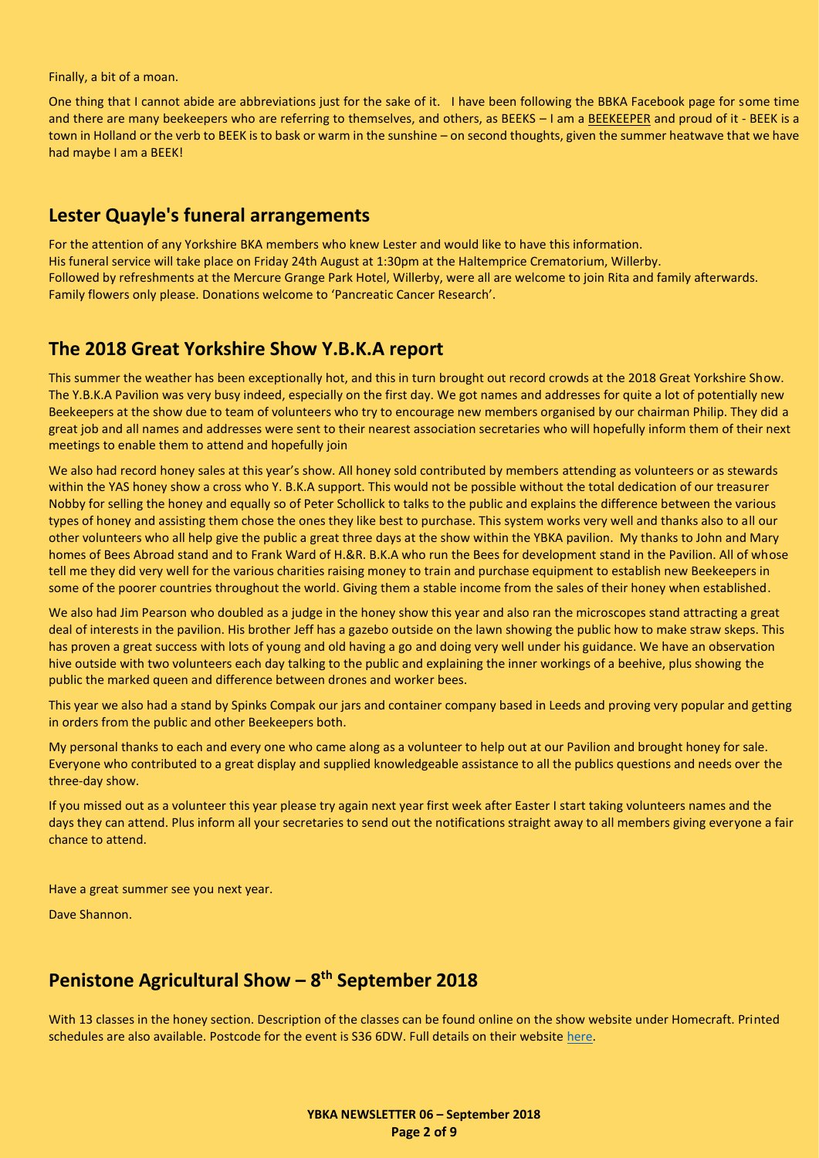Finally, a bit of a moan.

One thing that I cannot abide are abbreviations just for the sake of it. I have been following the BBKA Facebook page for some time and there are many beekeepers who are referring to themselves, and others, as BEEKS – I am a BEEKEEPER and proud of it - BEEK is a town in Holland or the verb to BEEK is to bask or warm in the sunshine – on second thoughts, given the summer heatwave that we have had maybe I am a BEEK!

#### <span id="page-1-0"></span>**Lester Quayle's funeral arrangements**

For the attention of any Yorkshire BKA members who knew Lester and would like to have this information. His funeral service will take place on Friday 24th August at 1:30pm at the Haltemprice Crematorium, Willerby. Followed by refreshments at the Mercure Grange Park Hotel, Willerby, were all are welcome to join Rita and family afterwards. Family flowers only please. Donations welcome to 'Pancreatic Cancer Research'.

#### <span id="page-1-1"></span>**The 2018 Great Yorkshire Show Y.B.K.A report**

This summer the weather has been exceptionally hot, and this in turn brought out record crowds at the 2018 Great Yorkshire Show. The Y.B.K.A Pavilion was very busy indeed, especially on the first day. We got names and addresses for quite a lot of potentially new Beekeepers at the show due to team of volunteers who try to encourage new members organised by our chairman Philip. They did a great job and all names and addresses were sent to their nearest association secretaries who will hopefully inform them of their next meetings to enable them to attend and hopefully join

We also had record honey sales at this year's show. All honey sold contributed by members attending as volunteers or as stewards within the YAS honey show a cross who Y. B.K.A support. This would not be possible without the total dedication of our treasurer Nobby for selling the honey and equally so of Peter Schollick to talks to the public and explains the difference between the various types of honey and assisting them chose the ones they like best to purchase. This system works very well and thanks also to all our other volunteers who all help give the public a great three days at the show within the YBKA pavilion. My thanks to John and Mary homes of Bees Abroad stand and to Frank Ward of H.&R. B.K.A who run the Bees for development stand in the Pavilion. All of whose tell me they did very well for the various charities raising money to train and purchase equipment to establish new Beekeepers in some of the poorer countries throughout the world. Giving them a stable income from the sales of their honey when established.

We also had Jim Pearson who doubled as a judge in the honey show this year and also ran the microscopes stand attracting a great deal of interests in the pavilion. His brother Jeff has a gazebo outside on the lawn showing the public how to make straw skeps. This has proven a great success with lots of young and old having a go and doing very well under his guidance. We have an observation hive outside with two volunteers each day talking to the public and explaining the inner workings of a beehive, plus showing the public the marked queen and difference between drones and worker bees.

This year we also had a stand by Spinks Compak our jars and container company based in Leeds and proving very popular and getting in orders from the public and other Beekeepers both.

My personal thanks to each and every one who came along as a volunteer to help out at our Pavilion and brought honey for sale. Everyone who contributed to a great display and supplied knowledgeable assistance to all the publics questions and needs over the three-day show.

If you missed out as a volunteer this year please try again next year first week after Easter I start taking volunteers names and the days they can attend. Plus inform all your secretaries to send out the notifications straight away to all members giving everyone a fair chance to attend.

Have a great summer see you next year.

Dave Shannon.

#### <span id="page-1-2"></span>**Penistone Agricultural Show – 8 th September 2018**

With 13 classes in the honey section. Description of the classes can be found online on the show website under Homecraft. Printed schedules are also available. Postcode for the event is S36 6DW. Full details on their website [here.](http://penistoneshow.com/show-classes/?secid=2590)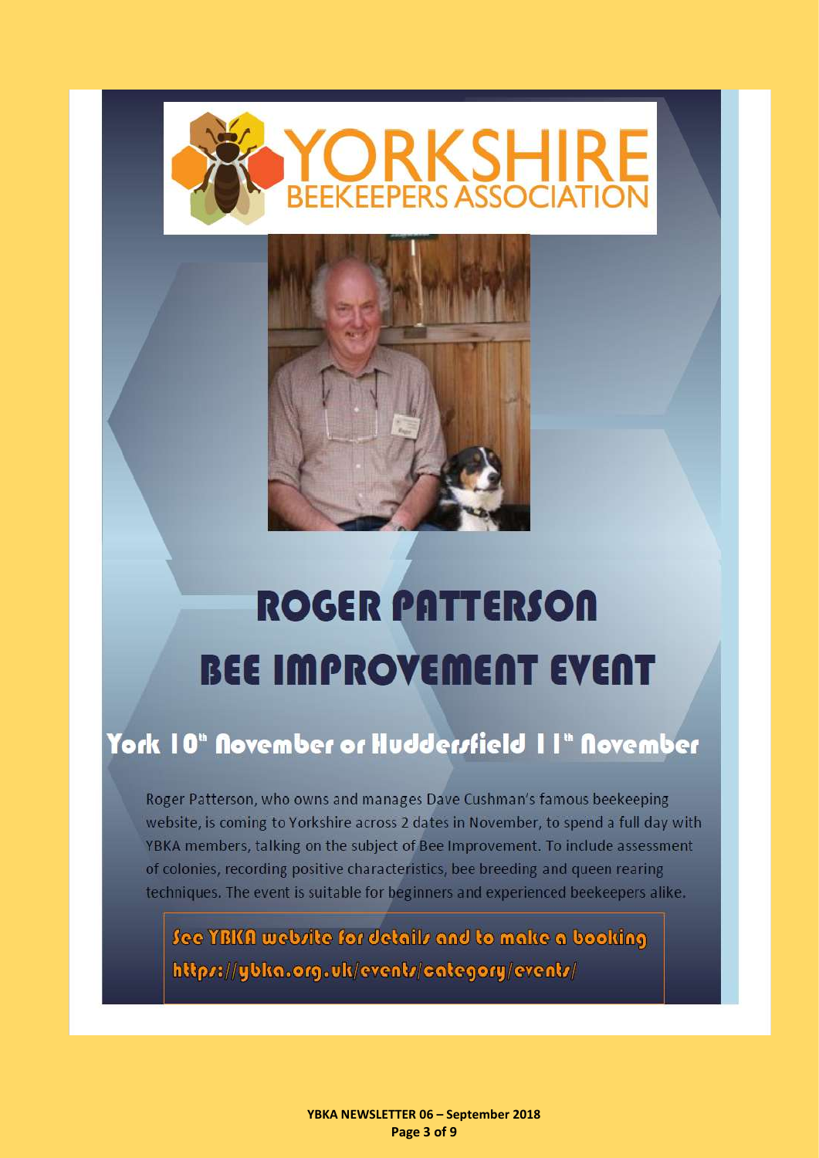<span id="page-2-0"></span>



## **ROGER PATTERSON BEE IMPROVEMENT EVENT**

### York 10" November or Hudderstield 11" November

Roger Patterson, who owns and manages Dave Cushman's famous beekeeping website, is coming to Yorkshire across 2 dates in November, to spend a full day with YBKA members, talking on the subject of Bee Improvement. To include assessment of colonies, recording positive characteristics, bee breeding and queen rearing techniques. The event is suitable for beginners and experienced beekeepers alike.

<span id="page-2-1"></span>See YBKA webrite for details and to make a booking https://ybka.org.uk/events/category/events/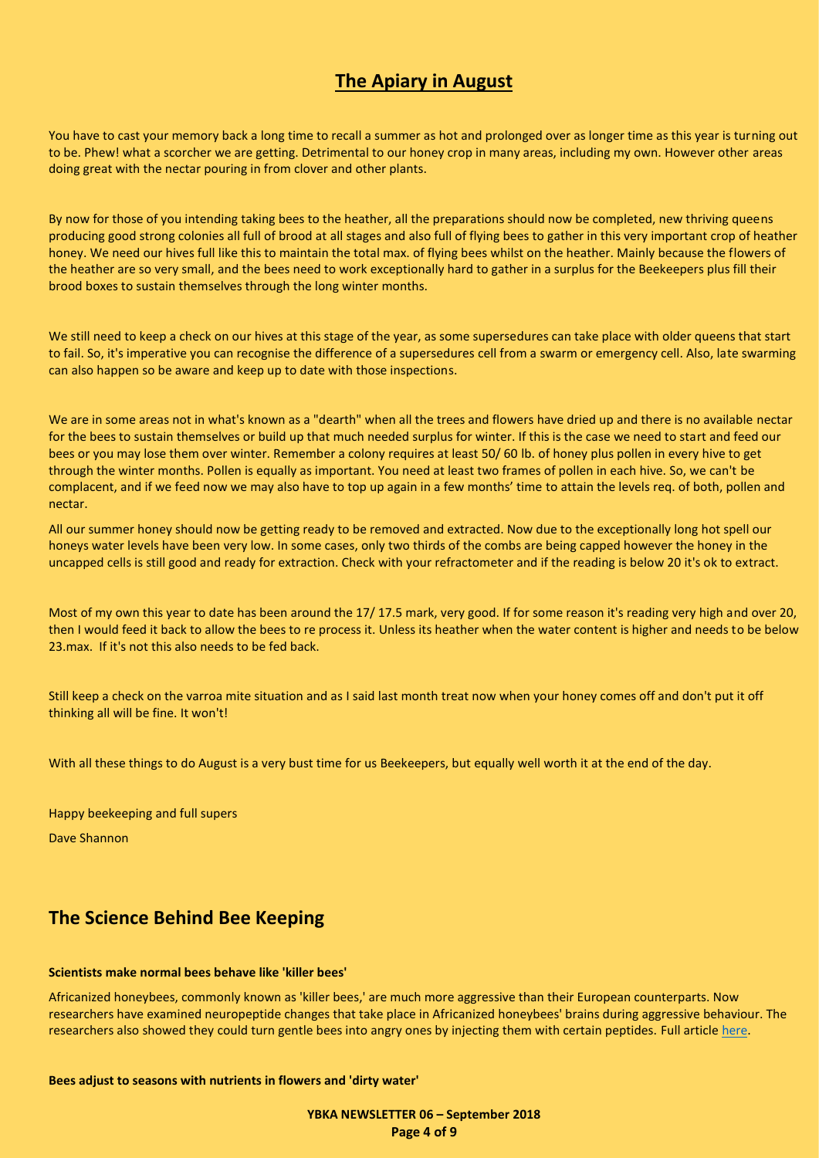#### **The Apiary in August**

You have to cast your memory back a long time to recall a summer as hot and prolonged over as longer time as this year is turning out to be. Phew! what a scorcher we are getting. Detrimental to our honey crop in many areas, including my own. However other areas doing great with the nectar pouring in from clover and other plants.

By now for those of you intending taking bees to the heather, all the preparations should now be completed, new thriving queens producing good strong colonies all full of brood at all stages and also full of flying bees to gather in this very important crop of heather honey. We need our hives full like this to maintain the total max. of flying bees whilst on the heather. Mainly because the flowers of the heather are so very small, and the bees need to work exceptionally hard to gather in a surplus for the Beekeepers plus fill their brood boxes to sustain themselves through the long winter months.

We still need to keep a check on our hives at this stage of the year, as some supersedures can take place with older queens that start to fail. So, it's imperative you can recognise the difference of a supersedures cell from a swarm or emergency cell. Also, late swarming can also happen so be aware and keep up to date with those inspections.

We are in some areas not in what's known as a "dearth" when all the trees and flowers have dried up and there is no available nectar for the bees to sustain themselves or build up that much needed surplus for winter. If this is the case we need to start and feed our bees or you may lose them over winter. Remember a colony requires at least 50/ 60 lb. of honey plus pollen in every hive to get through the winter months. Pollen is equally as important. You need at least two frames of pollen in each hive. So, we can't be complacent, and if we feed now we may also have to top up again in a few months' time to attain the levels req. of both, pollen and nectar.

All our summer honey should now be getting ready to be removed and extracted. Now due to the exceptionally long hot spell our honeys water levels have been very low. In some cases, only two thirds of the combs are being capped however the honey in the uncapped cells is still good and ready for extraction. Check with your refractometer and if the reading is below 20 it's ok to extract.

Most of my own this year to date has been around the 17/ 17.5 mark, very good. If for some reason it's reading very high and over 20, then I would feed it back to allow the bees to re process it. Unless its heather when the water content is higher and needs to be below 23.max. If it's not this also needs to be fed back.

Still keep a check on the varroa mite situation and as I said last month treat now when your honey comes off and don't put it off thinking all will be fine. It won't!

With all these things to do August is a very bust time for us Beekeepers, but equally well worth it at the end of the day.

Happy beekeeping and full supers

Dave Shannon

#### <span id="page-3-0"></span>**The Science Behind Bee Keeping**

#### **Scientists make normal bees behave like 'killer bees'**

Africanized honeybees, commonly known as 'killer bees,' are much more aggressive than their European counterparts. Now researchers have examined neuropeptide changes that take place in Africanized honeybees' brains during aggressive behaviour. The researchers also showed they could turn gentle bees into angry ones by injecting them with certain peptides. Full article [here.](https://www.sciencedaily.com/releases/2018/06/180606120433.htm)

#### **Bees adjust to seasons with nutrients in flowers and 'dirty water'**

**YBKA NEWSLETTER 06 – September 2018 Page 4 of 9**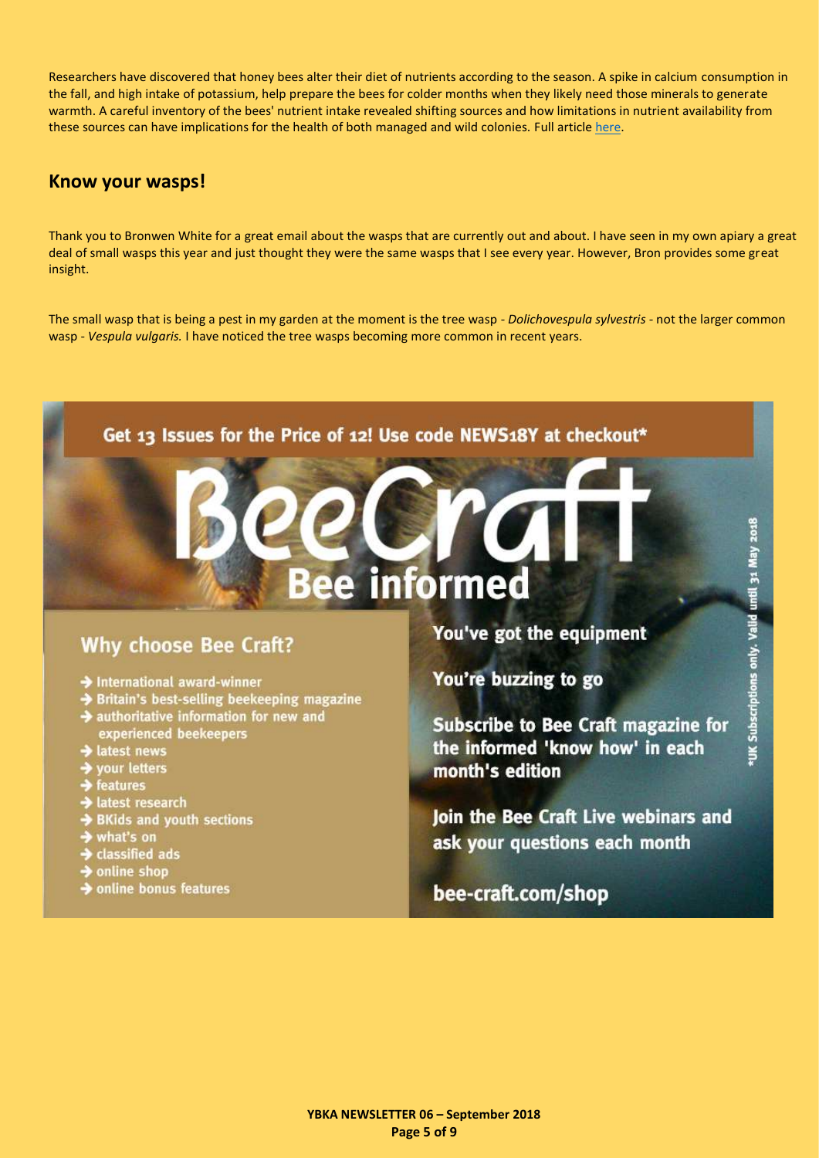Researchers have discovered that honey bees alter their diet of nutrients according to the season. A spike in calcium consumption in the fall, and high intake of potassium, help prepare the bees for colder months when they likely need those minerals to generate warmth. A careful inventory of the bees' nutrient intake revealed shifting sources and how limitations in nutrient availability from these sources can have implications for the health of both managed and wild colonies. Full article here.

#### <span id="page-4-0"></span>**Know your wasps!**

Thank you to Bronwen White for a great email about the wasps that are currently out and about. I have seen in my own apiary a great deal of small wasps this year and just thought they were the same wasps that I see every year. However, Bron provides some great insight.

The small wasp that is being a pest in my garden at the moment is the tree wasp - Dolichovespula sylvestris - not the larger common wasp - Vespula vulgaris. I have noticed the tree wasps becoming more common in recent years.

ee informed

<span id="page-4-1"></span>

#### **Why choose Bee Craft?**

- $\rightarrow$  International award-winner
- Spitain's best-selling beekeeping magazine
- authoritative information for new and experienced beekeepers
- latest news
- $\rightarrow$  vour letters
- $\rightarrow$  features
- latest research
- $\rightarrow$  BKids and youth sections
- $\rightarrow$  what's on
- $\rightarrow$  classified ads
- online shop
- $\rightarrow$  online bonus features

You've got the equipment

You're buzzing to go

**Subscribe to Bee Craft magazine for** the informed 'know how' in each month's edition

Join the Bee Craft Live webinars and ask your questions each month

bee-craft.com/shop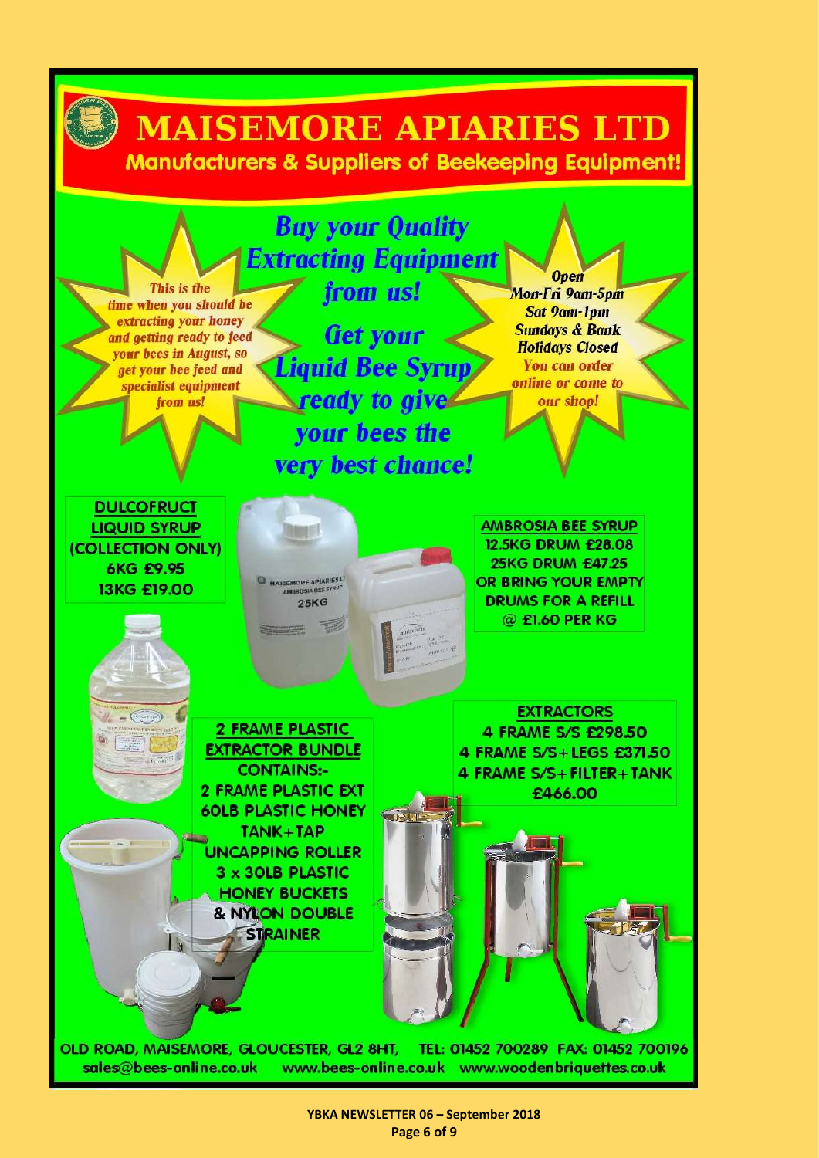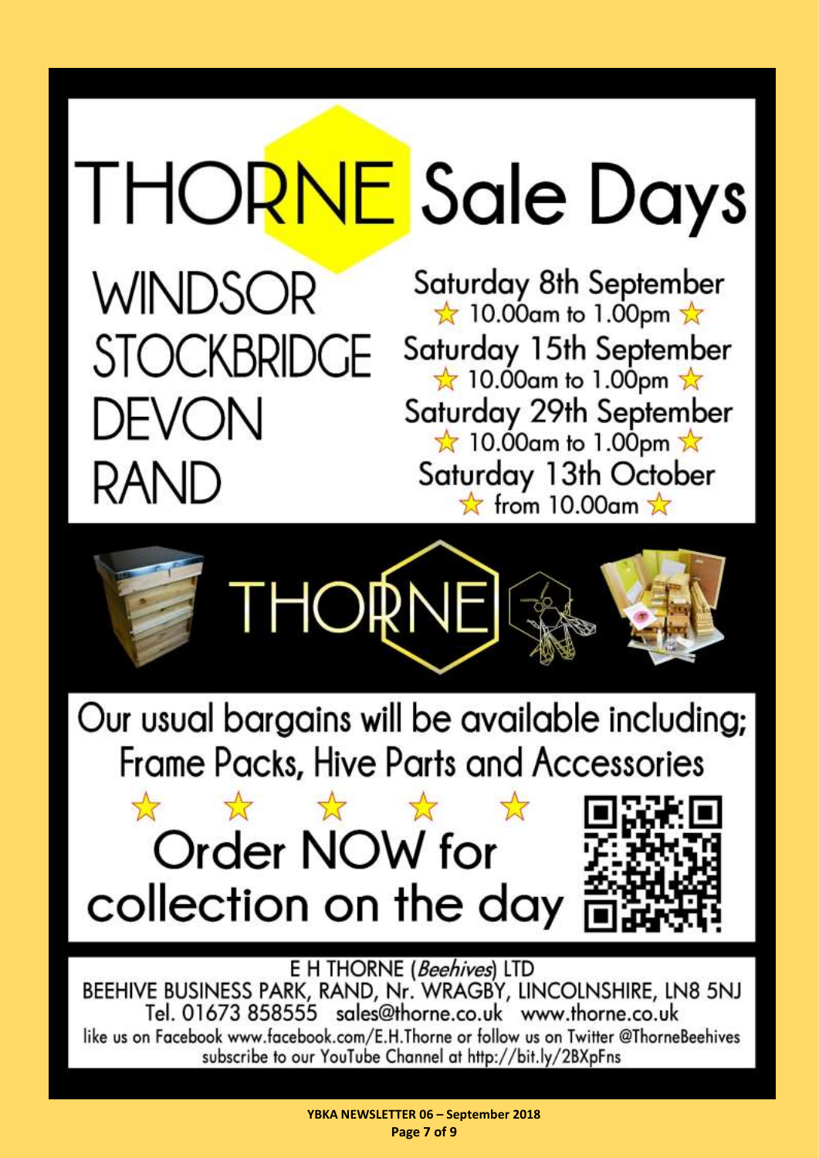## **THORNE** Sale Days

**WINDSOR STOCKBRIDGE** DEVON RAND

Saturday 8th September  $\star$  10.00am to 1.00pm  $\star$ Saturday 15th September  $\star$  10.00am to 1.00pm  $\star$ Saturday 29th September  $\star$  10.00am to 1.00pm  $\star$ Saturday 13th October  $\frac{1}{24}$  from 10.00am  $\frac{1}{24}$ 



Our usual bargains will be available including; **Frame Packs, Hive Parts and Accessories** 

#### $\frac{1}{2}$  $\frac{1}{\sqrt{2}}$  $\frac{1}{2}$  $\frac{1}{\sqrt{2}}$ **Order NOW for** collection on the day



E H THORNE (Beehives) LTD

BEEHIVE BUSINESS PARK, RAND, Nr. WRAGBY, LINCOLNSHIRE, LN8 5NJ Tel. 01673 858555 sales@thorne.co.uk www.thorne.co.uk

like us on Facebook www.facebook.com/E.H.Thorne or follow us on Twitter @ThorneBeehives subscribe to our YouTube Channel at http://bit.ly/2BXpFns

> YBKA NEWSLETTER 06 - September 2018 Page 7 of 9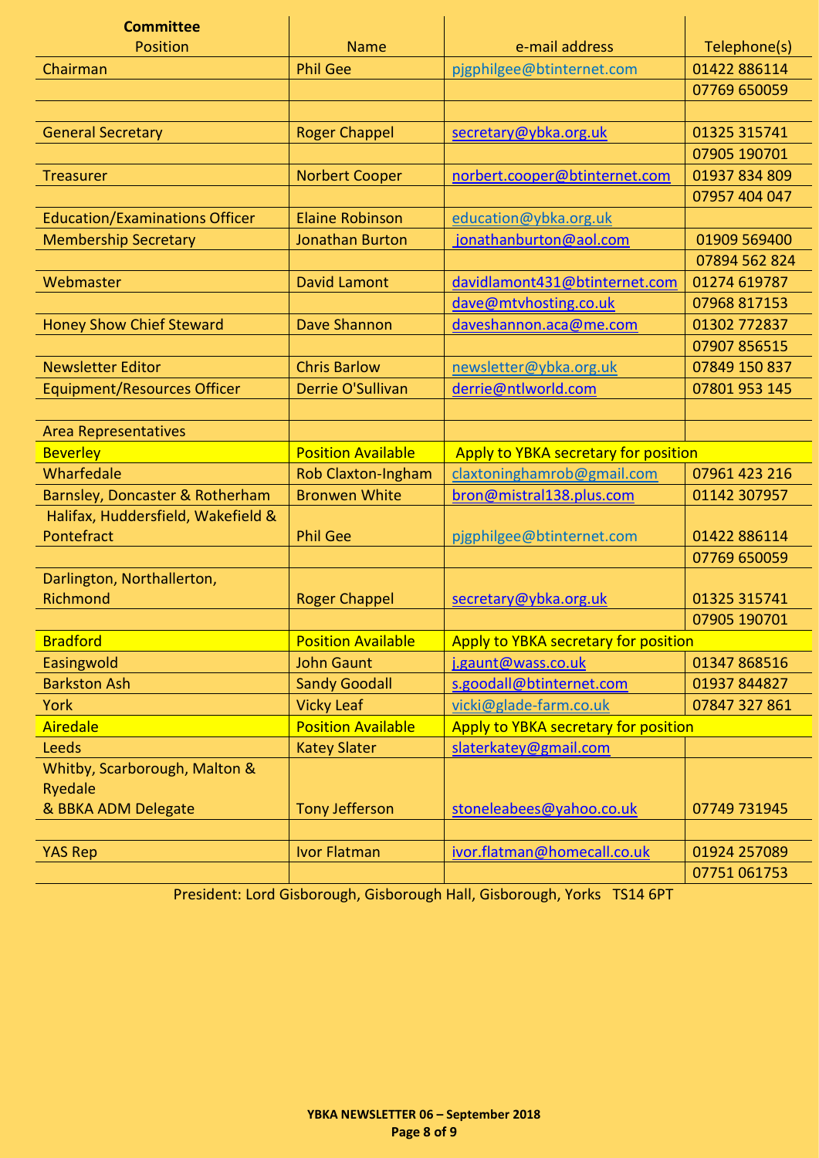<span id="page-7-0"></span>

| <b>Committee</b>                      |                           |                                      |               |
|---------------------------------------|---------------------------|--------------------------------------|---------------|
| <b>Position</b>                       | <b>Name</b>               | e-mail address                       | Telephone(s)  |
| Chairman                              | <b>Phil Gee</b>           | pjgphilgee@btinternet.com            | 01422 886114  |
|                                       |                           |                                      | 07769 650059  |
|                                       |                           |                                      |               |
| <b>General Secretary</b>              | <b>Roger Chappel</b>      | secretary@ybka.org.uk                | 01325 315741  |
|                                       |                           |                                      | 07905 190701  |
| <b>Treasurer</b>                      | <b>Norbert Cooper</b>     | norbert.cooper@btinternet.com        | 01937 834 809 |
|                                       |                           |                                      | 07957 404 047 |
| <b>Education/Examinations Officer</b> | <b>Elaine Robinson</b>    | education@ybka.org.uk                |               |
| <b>Membership Secretary</b>           | <b>Jonathan Burton</b>    | jonathanburton@aol.com               | 01909 569400  |
|                                       |                           |                                      | 07894 562 824 |
| Webmaster                             | <b>David Lamont</b>       | davidlamont431@btinternet.com        | 01274 619787  |
|                                       |                           | dave@mtvhosting.co.uk                | 07968 817153  |
| <b>Honey Show Chief Steward</b>       | <b>Dave Shannon</b>       | daveshannon.aca@me.com               | 01302 772837  |
|                                       |                           |                                      | 07907 856515  |
| <b>Newsletter Editor</b>              | <b>Chris Barlow</b>       | newsletter@ybka.org.uk               | 07849 150 837 |
| <b>Equipment/Resources Officer</b>    | Derrie O'Sullivan         | derrie@ntlworld.com                  | 07801 953 145 |
|                                       |                           |                                      |               |
| <b>Area Representatives</b>           |                           |                                      |               |
| <b>Beverley</b>                       | <b>Position Available</b> | Apply to YBKA secretary for position |               |
| Wharfedale                            | Rob Claxton-Ingham        | claxtoninghamrob@gmail.com           | 07961 423 216 |
| Barnsley, Doncaster & Rotherham       | <b>Bronwen White</b>      | bron@mistral138.plus.com             | 01142 307957  |
| Halifax, Huddersfield, Wakefield &    |                           |                                      |               |
| Pontefract                            | <b>Phil Gee</b>           | pjgphilgee@btinternet.com            | 01422 886114  |
|                                       |                           |                                      | 07769 650059  |
| Darlington, Northallerton,            |                           |                                      |               |
| Richmond                              | <b>Roger Chappel</b>      | secretary@ybka.org.uk                | 01325 315741  |
|                                       |                           |                                      | 07905 190701  |
| <b>Bradford</b>                       | <b>Position Available</b> | Apply to YBKA secretary for position |               |
| Easingwold                            | <b>John Gaunt</b>         | j.gaunt@wass.co.uk                   | 01347 868516  |
| <b>Barkston Ash</b>                   | <b>Sandy Goodall</b>      | s.goodall@btinternet.com             | 01937 844827  |
| <b>York</b>                           | <b>Vicky Leaf</b>         | vicki@glade-farm.co.uk               | 07847 327 861 |
| <b>Airedale</b>                       | <b>Position Available</b> | Apply to YBKA secretary for position |               |
| Leeds                                 | <b>Katey Slater</b>       | slaterkatey@gmail.com                |               |
| Whitby, Scarborough, Malton &         |                           |                                      |               |
| Ryedale                               |                           |                                      |               |
| & BBKA ADM Delegate                   | <b>Tony Jefferson</b>     | stoneleabees@yahoo.co.uk             | 07749 731945  |
|                                       |                           |                                      |               |
| <b>YAS Rep</b>                        | <b>Ivor Flatman</b>       | ivor.flatman@homecall.co.uk          | 01924 257089  |
|                                       |                           |                                      | 07751 061753  |

President: Lord Gisborough, Gisborough Hall, Gisborough, Yorks TS14 6PT